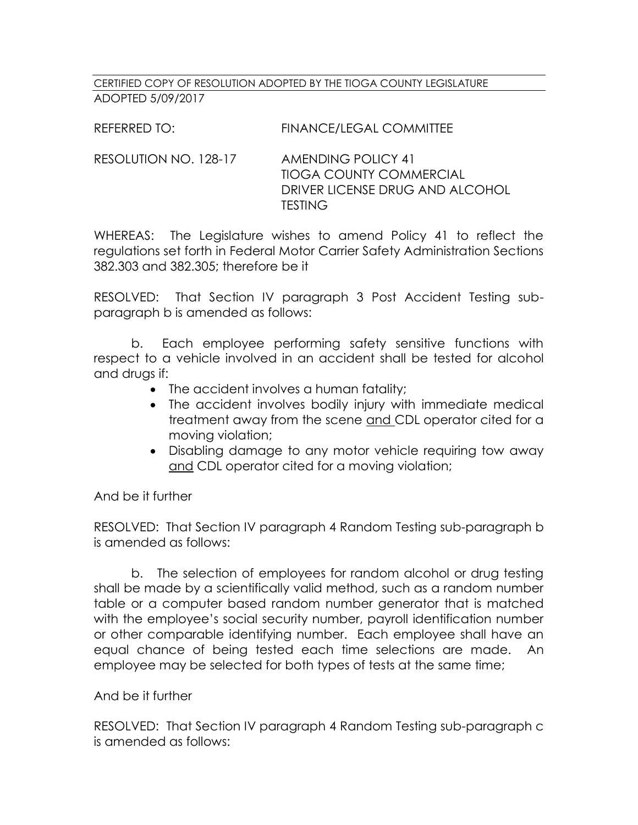## CERTIFIED COPY OF RESOLUTION ADOPTED BY THE TIOGA COUNTY LEGISLATURE ADOPTED 5/09/2017

REFERRED TO: FINANCE/LEGAL COMMITTEE

RESOLUTION NO. 128-17 AMENDING POLICY 41 TIOGA COUNTY COMMERCIAL DRIVER LICENSE DRUG AND ALCOHOL **TESTING** 

WHEREAS: The Legislature wishes to amend Policy 41 to reflect the regulations set forth in Federal Motor Carrier Safety Administration Sections 382.303 and 382.305; therefore be it

RESOLVED: That Section IV paragraph 3 Post Accident Testing subparagraph b is amended as follows:

b. Each employee performing safety sensitive functions with respect to a vehicle involved in an accident shall be tested for alcohol and drugs if:

- The accident involves a human fatality;
- The accident involves bodily injury with immediate medical treatment away from the scene and CDL operator cited for a moving violation;
- Disabling damage to any motor vehicle requiring tow away and CDL operator cited for a moving violation;

And be it further

RESOLVED: That Section IV paragraph 4 Random Testing sub-paragraph b is amended as follows:

b. The selection of employees for random alcohol or drug testing shall be made by a scientifically valid method, such as a random number table or a computer based random number generator that is matched with the employee's social security number, payroll identification number or other comparable identifying number. Each employee shall have an equal chance of being tested each time selections are made. An employee may be selected for both types of tests at the same time;

And be it further

RESOLVED: That Section IV paragraph 4 Random Testing sub-paragraph c is amended as follows: